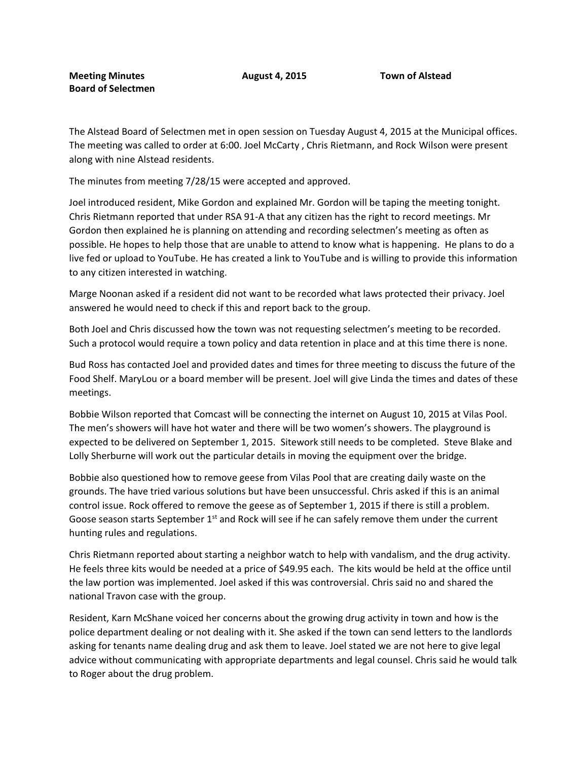The Alstead Board of Selectmen met in open session on Tuesday August 4, 2015 at the Municipal offices. The meeting was called to order at 6:00. Joel McCarty , Chris Rietmann, and Rock Wilson were present along with nine Alstead residents.

The minutes from meeting 7/28/15 were accepted and approved.

Joel introduced resident, Mike Gordon and explained Mr. Gordon will be taping the meeting tonight. Chris Rietmann reported that under RSA 91-A that any citizen has the right to record meetings. Mr Gordon then explained he is planning on attending and recording selectmen's meeting as often as possible. He hopes to help those that are unable to attend to know what is happening. He plans to do a live fed or upload to YouTube. He has created a link to YouTube and is willing to provide this information to any citizen interested in watching.

Marge Noonan asked if a resident did not want to be recorded what laws protected their privacy. Joel answered he would need to check if this and report back to the group.

Both Joel and Chris discussed how the town was not requesting selectmen's meeting to be recorded. Such a protocol would require a town policy and data retention in place and at this time there is none.

Bud Ross has contacted Joel and provided dates and times for three meeting to discuss the future of the Food Shelf. MaryLou or a board member will be present. Joel will give Linda the times and dates of these meetings.

Bobbie Wilson reported that Comcast will be connecting the internet on August 10, 2015 at Vilas Pool. The men's showers will have hot water and there will be two women's showers. The playground is expected to be delivered on September 1, 2015. Sitework still needs to be completed. Steve Blake and Lolly Sherburne will work out the particular details in moving the equipment over the bridge.

Bobbie also questioned how to remove geese from Vilas Pool that are creating daily waste on the grounds. The have tried various solutions but have been unsuccessful. Chris asked if this is an animal control issue. Rock offered to remove the geese as of September 1, 2015 if there is still a problem. Goose season starts September  $1<sup>st</sup>$  and Rock will see if he can safely remove them under the current hunting rules and regulations.

Chris Rietmann reported about starting a neighbor watch to help with vandalism, and the drug activity. He feels three kits would be needed at a price of \$49.95 each. The kits would be held at the office until the law portion was implemented. Joel asked if this was controversial. Chris said no and shared the national Travon case with the group.

Resident, Karn McShane voiced her concerns about the growing drug activity in town and how is the police department dealing or not dealing with it. She asked if the town can send letters to the landlords asking for tenants name dealing drug and ask them to leave. Joel stated we are not here to give legal advice without communicating with appropriate departments and legal counsel. Chris said he would talk to Roger about the drug problem.